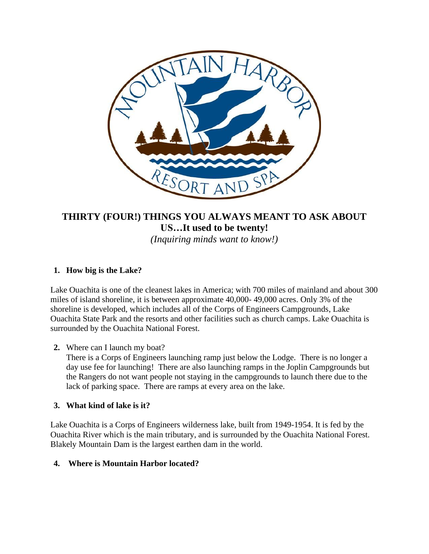

# **THIRTY (FOUR!) THINGS YOU ALWAYS MEANT TO ASK ABOUT US…It used to be twenty!** *(Inquiring minds want to know!)*

## **1. How big is the Lake?**

Lake Ouachita is one of the cleanest lakes in America; with 700 miles of mainland and about 300 miles of island shoreline, it is between approximate 40,000- 49,000 acres. Only 3% of the shoreline is developed, which includes all of the Corps of Engineers Campgrounds, Lake Ouachita State Park and the resorts and other facilities such as church camps. Lake Ouachita is surrounded by the Ouachita National Forest.

**2.** Where can I launch my boat?

There is a Corps of Engineers launching ramp just below the Lodge. There is no longer a day use fee for launching! There are also launching ramps in the Joplin Campgrounds but the Rangers do not want people not staying in the campgrounds to launch there due to the lack of parking space. There are ramps at every area on the lake.

## **3. What kind of lake is it?**

Lake Ouachita is a Corps of Engineers wilderness lake, built from 1949-1954. It is fed by the Ouachita River which is the main tributary, and is surrounded by the Ouachita National Forest. Blakely Mountain Dam is the largest earthen dam in the world.

## **4. Where is Mountain Harbor located?**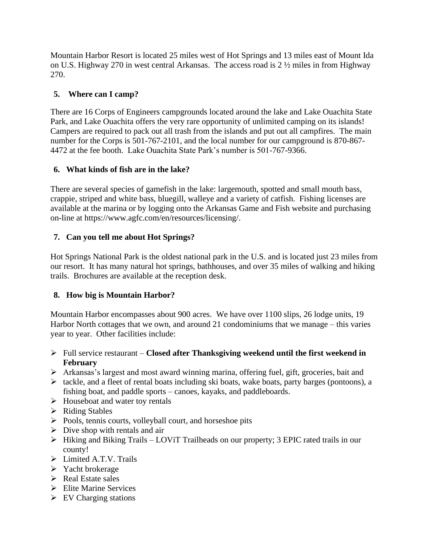Mountain Harbor Resort is located 25 miles west of Hot Springs and 13 miles east of Mount Ida on U.S. Highway 270 in west central Arkansas. The access road is 2 ½ miles in from Highway 270.

## **5. Where can I camp?**

There are 16 Corps of Engineers campgrounds located around the lake and Lake Ouachita State Park, and Lake Ouachita offers the very rare opportunity of unlimited camping on its islands! Campers are required to pack out all trash from the islands and put out all campfires. The main number for the Corps is 501-767-2101, and the local number for our campground is 870-867- 4472 at the fee booth. Lake Ouachita State Park's number is 501-767-9366.

## **6. What kinds of fish are in the lake?**

There are several species of gamefish in the lake: largemouth, spotted and small mouth bass, crappie, striped and white bass, bluegill, walleye and a variety of catfish. Fishing licenses are available at the marina or by logging onto the Arkansas Game and Fish website and purchasing on-line at https://www.agfc.com/en/resources/licensing/.

## **7. Can you tell me about Hot Springs?**

Hot Springs National Park is the oldest national park in the U.S. and is located just 23 miles from our resort. It has many natural hot springs, bathhouses, and over 35 miles of walking and hiking trails. Brochures are available at the reception desk.

## **8. How big is Mountain Harbor?**

Mountain Harbor encompasses about 900 acres. We have over 1100 slips, 26 lodge units, 19 Harbor North cottages that we own, and around 21 condominiums that we manage – this varies year to year. Other facilities include:

- ➢ Full service restaurant **Closed after Thanksgiving weekend until the first weekend in February**
- ➢ Arkansas's largest and most award winning marina, offering fuel, gift, groceries, bait and
- ➢ tackle, and a fleet of rental boats including ski boats, wake boats, party barges (pontoons), a fishing boat, and paddle sports – canoes, kayaks, and paddleboards.
- ➢ Houseboat and water toy rentals
- ➢ Riding Stables
- ➢ Pools, tennis courts, volleyball court, and horseshoe pits
- $\triangleright$  Dive shop with rentals and air
- ➢ Hiking and Biking Trails LOViT Trailheads on our property; 3 EPIC rated trails in our county!
- ➢ Limited A.T.V. Trails
- ➢ Yacht brokerage
- ➢ Real Estate sales
- ➢ Elite Marine Services
- $\triangleright$  EV Charging stations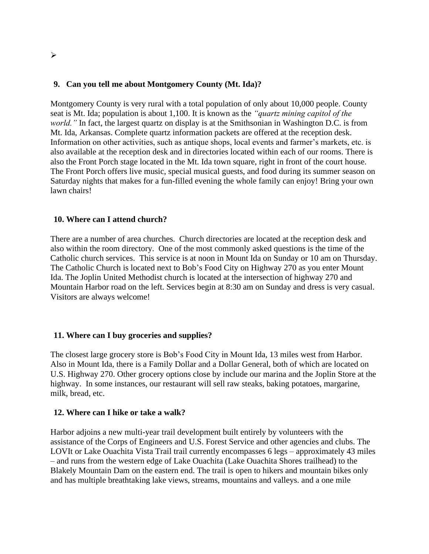#### **9. Can you tell me about Montgomery County (Mt. Ida)?**

Montgomery County is very rural with a total population of only about 10,000 people. County seat is Mt. Ida; population is about 1,100. It is known as the *"quartz mining capitol of the world."* In fact, the largest quartz on display is at the Smithsonian in Washington D.C. is from Mt. Ida, Arkansas. Complete quartz information packets are offered at the reception desk. Information on other activities, such as antique shops, local events and farmer's markets, etc. is also available at the reception desk and in directories located within each of our rooms. There is also the Front Porch stage located in the Mt. Ida town square, right in front of the court house. The Front Porch offers live music, special musical guests, and food during its summer season on Saturday nights that makes for a fun-filled evening the whole family can enjoy! Bring your own lawn chairs!

#### **10. Where can I attend church?**

There are a number of area churches. Church directories are located at the reception desk and also within the room directory. One of the most commonly asked questions is the time of the Catholic church services. This service is at noon in Mount Ida on Sunday or 10 am on Thursday. The Catholic Church is located next to Bob's Food City on Highway 270 as you enter Mount Ida. The Joplin United Methodist church is located at the intersection of highway 270 and Mountain Harbor road on the left. Services begin at 8:30 am on Sunday and dress is very casual. Visitors are always welcome!

#### **11. Where can I buy groceries and supplies?**

The closest large grocery store is Bob's Food City in Mount Ida, 13 miles west from Harbor. Also in Mount Ida, there is a Family Dollar and a Dollar General, both of which are located on U.S. Highway 270. Other grocery options close by include our marina and the Joplin Store at the highway. In some instances, our restaurant will sell raw steaks, baking potatoes, margarine, milk, bread, etc.

#### **12. Where can I hike or take a walk?**

Harbor adjoins a new multi-year trail development built entirely by volunteers with the assistance of the Corps of Engineers and U.S. Forest Service and other agencies and clubs. The LOVIt or Lake Ouachita Vista Trail trail currently encompasses 6 legs – approximately 43 miles – and runs from the western edge of Lake Ouachita (Lake Ouachita Shores trailhead) to the Blakely Mountain Dam on the eastern end. The trail is open to hikers and mountain bikes only and has multiple breathtaking lake views, streams, mountains and valleys. and a one mile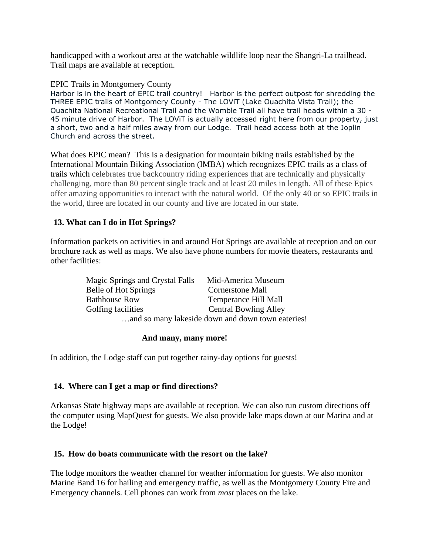handicapped with a workout area at the watchable wildlife loop near the Shangri-La trailhead. Trail maps are available at reception.

#### EPIC Trails in Montgomery County

Harbor is in the heart of EPIC trail country! Harbor is the perfect outpost for shredding the THREE EPIC trails of Montgomery County - The LOViT (Lake Ouachita Vista Trail); the Ouachita National Recreational Trail and the Womble Trail all have trail heads within a 30 - 45 minute drive of Harbor. The LOViT is actually accessed right here from our property, just a short, two and a half miles away from our Lodge. Trail head access both at the Joplin Church and across the street.

What does EPIC mean? This is a designation for mountain biking trails established by the International Mountain Biking Association (IMBA) which recognizes EPIC trails as a class of trails which celebrates true backcountry riding experiences that are technically and physically challenging, more than 80 percent single track and at least 20 miles in length. All of these Epics offer amazing opportunities to interact with the natural world. Of the only 40 or so EPIC trails in the world, three are located in our county and five are located in our state.

#### **13. What can I do in Hot Springs?**

Information packets on activities in and around Hot Springs are available at reception and on our brochure rack as well as maps. We also have phone numbers for movie theaters, restaurants and other facilities:

| Magic Springs and Crystal Falls                   | Mid-America Museum           |
|---------------------------------------------------|------------------------------|
| Belle of Hot Springs                              | <b>Cornerstone Mall</b>      |
| <b>Bathhouse Row</b>                              | Temperance Hill Mall         |
| Golfing facilities                                | <b>Central Bowling Alley</b> |
| and so many lakeside down and down town eateries! |                              |

#### **And many, many more!**

In addition, the Lodge staff can put together rainy-day options for guests!

#### **14. Where can I get a map or find directions?**

Arkansas State highway maps are available at reception. We can also run custom directions off the computer using MapQuest for guests. We also provide lake maps down at our Marina and at the Lodge!

#### **15. How do boats communicate with the resort on the lake?**

The lodge monitors the weather channel for weather information for guests. We also monitor Marine Band 16 for hailing and emergency traffic, as well as the Montgomery County Fire and Emergency channels. Cell phones can work from *most* places on the lake.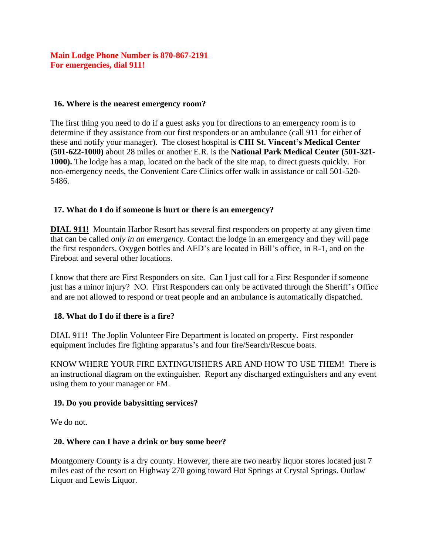## **Main Lodge Phone Number is 870-867-2191 For emergencies, dial 911!**

#### **16. Where is the nearest emergency room?**

The first thing you need to do if a guest asks you for directions to an emergency room is to determine if they assistance from our first responders or an ambulance (call 911 for either of these and notify your manager). The closest hospital is **CHI St. Vincent's Medical Center (501-622-1000)** about 28 miles or another E.R. is the **National Park Medical Center (501-321- 1000).** The lodge has a map, located on the back of the site map, to direct guests quickly. For non-emergency needs, the Convenient Care Clinics offer walk in assistance or call 501-520- 5486.

#### **17. What do I do if someone is hurt or there is an emergency?**

**DIAL 911!** Mountain Harbor Resort has several first responders on property at any given time that can be called *only in an emergency.* Contact the lodge in an emergency and they will page the first responders. Oxygen bottles and AED's are located in Bill's office, in R-1, and on the Fireboat and several other locations.

I know that there are First Responders on site. Can I just call for a First Responder if someone just has a minor injury? NO. First Responders can only be activated through the Sheriff's Office and are not allowed to respond or treat people and an ambulance is automatically dispatched.

## **18. What do I do if there is a fire?**

DIAL 911! The Joplin Volunteer Fire Department is located on property. First responder equipment includes fire fighting apparatus's and four fire/Search/Rescue boats.

KNOW WHERE YOUR FIRE EXTINGUISHERS ARE AND HOW TO USE THEM! There is an instructional diagram on the extinguisher. Report any discharged extinguishers and any event using them to your manager or FM.

#### **19. Do you provide babysitting services?**

We do not.

#### **20. Where can I have a drink or buy some beer?**

Montgomery County is a dry county. However, there are two nearby liquor stores located just 7 miles east of the resort on Highway 270 going toward Hot Springs at Crystal Springs. Outlaw Liquor and Lewis Liquor.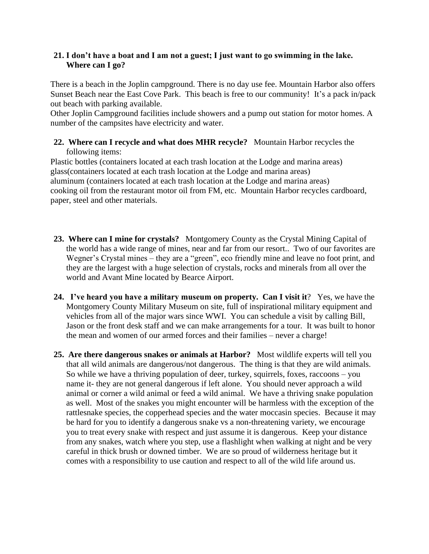#### **21. I don't have a boat and I am not a guest; I just want to go swimming in the lake. Where can I go?**

There is a beach in the Joplin campground. There is no day use fee. Mountain Harbor also offers Sunset Beach near the East Cove Park. This beach is free to our community! It's a pack in/pack out beach with parking available.

Other Joplin Campground facilities include showers and a pump out station for motor homes. A number of the campsites have electricity and water.

**22. Where can I recycle and what does MHR recycle?** Mountain Harbor recycles the following items:

Plastic bottles (containers located at each trash location at the Lodge and marina areas) glass(containers located at each trash location at the Lodge and marina areas) aluminum (containers located at each trash location at the Lodge and marina areas) cooking oil from the restaurant motor oil from FM, etc. Mountain Harbor recycles cardboard, paper, steel and other materials.

- **23. Where can I mine for crystals?** Montgomery County as the Crystal Mining Capital of the world has a wide range of mines, near and far from our resort.. Two of our favorites are Wegner's Crystal mines – they are a "green", eco friendly mine and leave no foot print, and they are the largest with a huge selection of crystals, rocks and minerals from all over the world and Avant Mine located by Bearce Airport.
- **24. I've heard you have a military museum on property. Can I visit it**? Yes, we have the Montgomery County Military Museum on site, full of inspirational military equipment and vehicles from all of the major wars since WWI. You can schedule a visit by calling Bill, Jason or the front desk staff and we can make arrangements for a tour. It was built to honor the mean and women of our armed forces and their families – never a charge!
- **25. Are there dangerous snakes or animals at Harbor?** Most wildlife experts will tell you that all wild animals are dangerous/not dangerous. The thing is that they are wild animals. So while we have a thriving population of deer, turkey, squirrels, foxes, raccoons – you name it- they are not general dangerous if left alone. You should never approach a wild animal or corner a wild animal or feed a wild animal. We have a thriving snake population as well. Most of the snakes you might encounter will be harmless with the exception of the rattlesnake species, the copperhead species and the water moccasin species. Because it may be hard for you to identify a dangerous snake vs a non-threatening variety, we encourage you to treat every snake with respect and just assume it is dangerous. Keep your distance from any snakes, watch where you step, use a flashlight when walking at night and be very careful in thick brush or downed timber. We are so proud of wilderness heritage but it comes with a responsibility to use caution and respect to all of the wild life around us.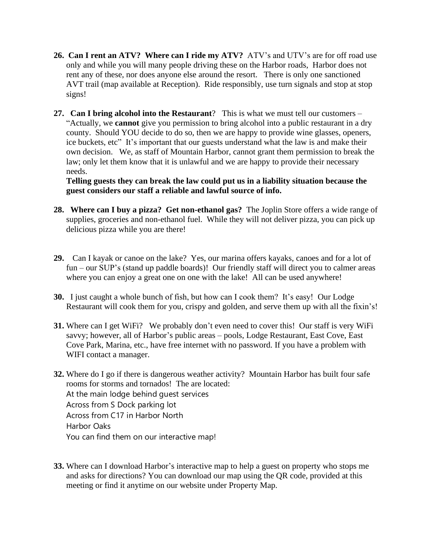- **26. Can I rent an ATV? Where can I ride my ATV?** ATV's and UTV's are for off road use only and while you will many people driving these on the Harbor roads, Harbor does not rent any of these, nor does anyone else around the resort. There is only one sanctioned AVT trail (map available at Reception). Ride responsibly, use turn signals and stop at stop signs!
- **27. Can I bring alcohol into the Restaurant**? This is what we must tell our customers "Actually, we **cannot** give you permission to bring alcohol into a public restaurant in a dry county. Should YOU decide to do so, then we are happy to provide wine glasses, openers, ice buckets, etc" It's important that our guests understand what the law is and make their own decision. We, as staff of Mountain Harbor, cannot grant them permission to break the law; only let them know that it is unlawful and we are happy to provide their necessary needs.

**Telling guests they can break the law could put us in a liability situation because the guest considers our staff a reliable and lawful source of info.**

- **28. Where can I buy a pizza? Get non-ethanol gas?** The Joplin Store offers a wide range of supplies, groceries and non-ethanol fuel. While they will not deliver pizza, you can pick up delicious pizza while you are there!
- **29.** Can I kayak or canoe on the lake? Yes, our marina offers kayaks, canoes and for a lot of fun – our SUP's (stand up paddle boards)! Our friendly staff will direct you to calmer areas where you can enjoy a great one on one with the lake! All can be used anywhere!
- **30.** I just caught a whole bunch of fish, but how can I cook them? It's easy! Our Lodge Restaurant will cook them for you, crispy and golden, and serve them up with all the fixin's!
- **31.** Where can I get WiFi? We probably don't even need to cover this! Our staff is very WiFi savvy; however, all of Harbor's public areas – pools, Lodge Restaurant, East Cove, East Cove Park, Marina, etc., have free internet with no password. If you have a problem with WIFI contact a manager.
- **32.** Where do I go if there is dangerous weather activity? Mountain Harbor has built four safe rooms for storms and tornados! The are located: At the main lodge behind guest services Across from S Dock parking lot Across from C17 in Harbor North Harbor Oaks You can find them on our interactive map!
- **33.** Where can I download Harbor's interactive map to help a guest on property who stops me and asks for directions? You can download our map using the QR code, provided at this meeting or find it anytime on our website under Property Map.